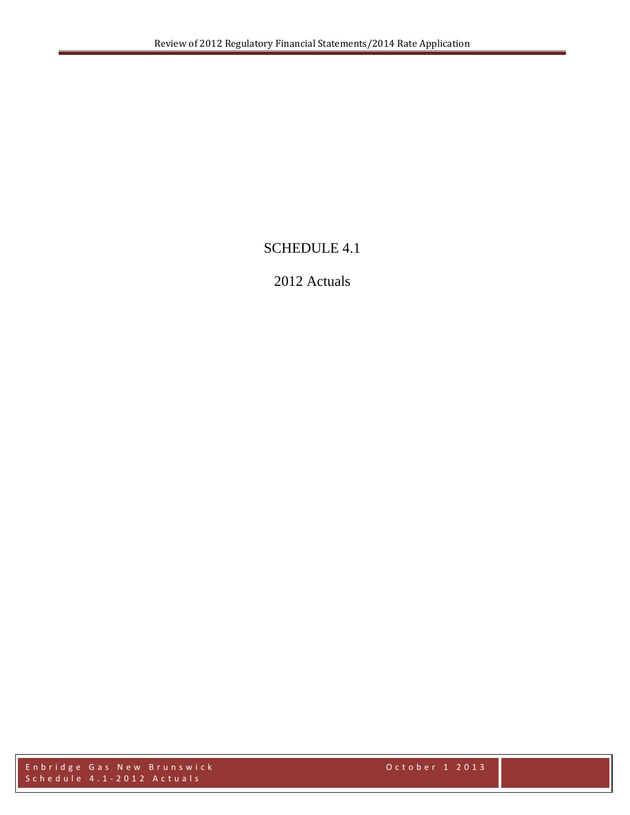# SCHEDULE 4.1

# 2012 Actuals

Enbridge Gas New Brunswick October 1 2013 Schedule 4.1 - 2012 Actuals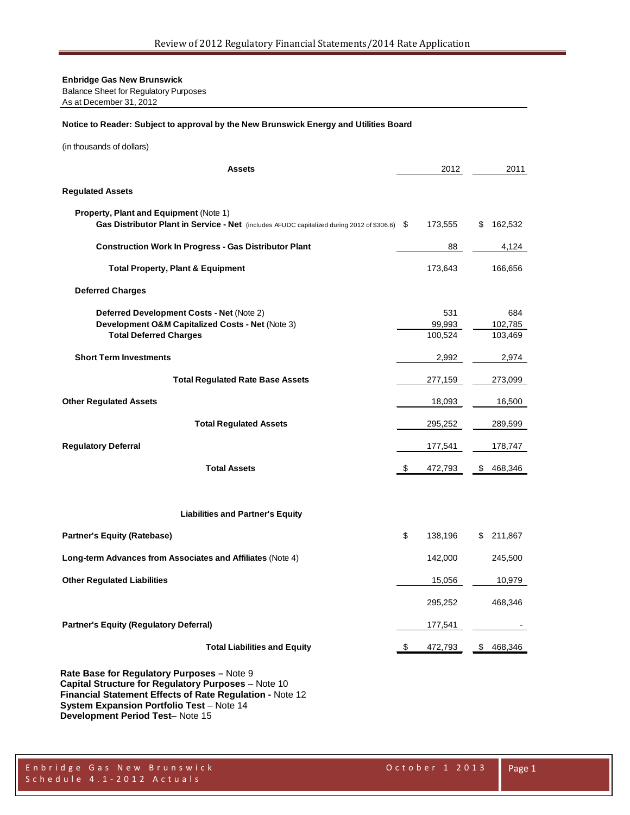Balance Sheet for Regulatory Purposes

As at December 31, 2012

#### **Notice to Reader: Subject to approval by the New Brunswick Energy and Utilities Board**

(in thousands of dollars)

| <b>Assets</b>                                                                                                                                  | 2012                     | 2011                      |
|------------------------------------------------------------------------------------------------------------------------------------------------|--------------------------|---------------------------|
| <b>Regulated Assets</b>                                                                                                                        |                          |                           |
| <b>Property, Plant and Equipment (Note 1)</b><br>Gas Distributor Plant in Service - Net (includes AFUDC capitalized during 2012 of \$306.6) \$ | 173,555                  | \$<br>162,532             |
| <b>Construction Work In Progress - Gas Distributor Plant</b>                                                                                   | 88                       | 4,124                     |
| <b>Total Property, Plant &amp; Equipment</b>                                                                                                   | 173,643                  | 166,656                   |
| <b>Deferred Charges</b>                                                                                                                        |                          |                           |
| Deferred Development Costs - Net (Note 2)<br>Development O&M Capitalized Costs - Net (Note 3)<br><b>Total Deferred Charges</b>                 | 531<br>99,993<br>100,524 | 684<br>102,785<br>103,469 |
| <b>Short Term Investments</b>                                                                                                                  | 2,992                    | 2,974                     |
| <b>Total Regulated Rate Base Assets</b>                                                                                                        | 277,159                  | 273,099                   |
| <b>Other Regulated Assets</b>                                                                                                                  | 18,093                   | 16,500                    |
| <b>Total Regulated Assets</b>                                                                                                                  | 295,252                  | 289,599                   |
| <b>Regulatory Deferral</b>                                                                                                                     | 177,541                  | 178,747                   |
| <b>Total Assets</b>                                                                                                                            | \$<br>472,793            | \$<br>468,346             |
| <b>Liabilities and Partner's Equity</b>                                                                                                        |                          |                           |
| <b>Partner's Equity (Ratebase)</b>                                                                                                             | \$<br>138,196            | \$ 211,867                |
| Long-term Advances from Associates and Affiliates (Note 4)                                                                                     | 142,000                  | 245,500                   |
| <b>Other Regulated Liabilities</b>                                                                                                             | 15,056                   | 10,979                    |
|                                                                                                                                                | 295,252                  | 468,346                   |
| <b>Partner's Equity (Regulatory Deferral)</b>                                                                                                  | 177,541                  |                           |
| <b>Total Liabilities and Equity</b>                                                                                                            | \$<br>472,793            | \$468,346                 |
|                                                                                                                                                |                          |                           |

**Rate Base for Regulatory Purposes –** Note 9 **Capital Structure for Regulatory Purposes** – Note 10 **Financial Statement Effects of Rate Regulation -** Note 12 **System Expansion Portfolio Test - Note 14 Development Period Test**– Note 15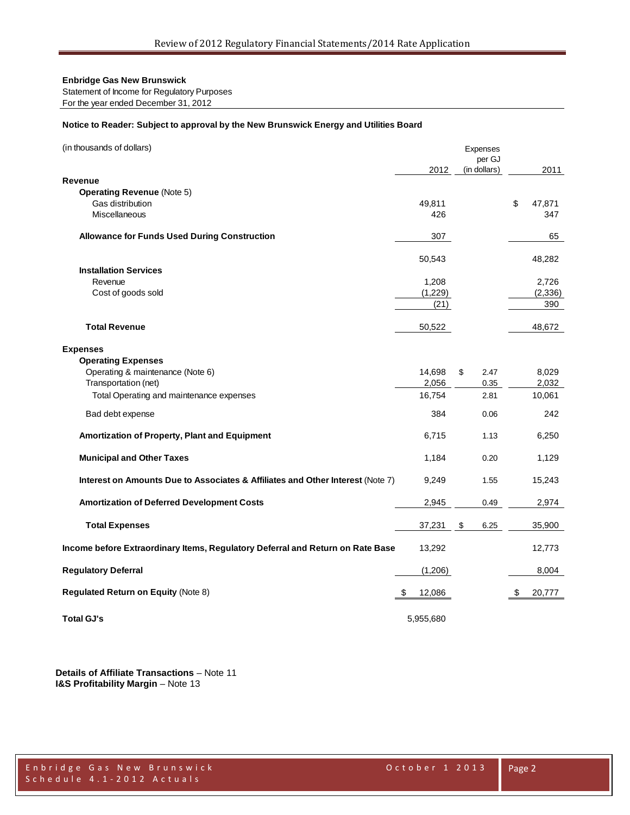Statement of Income for Regulatory Purposes

For the year ended December 31, 2012

#### **Notice to Reader: Subject to approval by the New Brunswick Energy and Utilities Board**

| (in thousands of dollars)                                                      |              | Expenses<br>per GJ |              |
|--------------------------------------------------------------------------------|--------------|--------------------|--------------|
|                                                                                | 2012         | (in dollars)       | 2011         |
| Revenue<br><b>Operating Revenue (Note 5)</b>                                   |              |                    |              |
| Gas distribution                                                               | 49,811       |                    | \$<br>47,871 |
| <b>Miscellaneous</b>                                                           | 426          |                    | 347          |
|                                                                                |              |                    |              |
| <b>Allowance for Funds Used During Construction</b>                            | 307          |                    | 65           |
|                                                                                | 50,543       |                    | 48,282       |
| <b>Installation Services</b>                                                   |              |                    |              |
| Revenue                                                                        | 1,208        |                    | 2,726        |
| Cost of goods sold                                                             | (1,229)      |                    | (2, 336)     |
|                                                                                | (21)         |                    | 390          |
| <b>Total Revenue</b>                                                           |              |                    | 48,672       |
|                                                                                | 50,522       |                    |              |
| <b>Expenses</b>                                                                |              |                    |              |
| <b>Operating Expenses</b>                                                      |              |                    |              |
| Operating & maintenance (Note 6)                                               | 14,698       | \$<br>2.47         | 8,029        |
| Transportation (net)                                                           | 2,056        | 0.35               | 2,032        |
| Total Operating and maintenance expenses                                       | 16,754       | 2.81               | 10,061       |
| Bad debt expense                                                               | 384          | 0.06               | 242          |
| Amortization of Property, Plant and Equipment                                  | 6,715        | 1.13               | 6,250        |
| <b>Municipal and Other Taxes</b>                                               | 1,184        | 0.20               | 1,129        |
| Interest on Amounts Due to Associates & Affiliates and Other Interest (Note 7) | 9,249        | 1.55               | 15,243       |
| <b>Amortization of Deferred Development Costs</b>                              | 2,945        | 0.49               | 2,974        |
| <b>Total Expenses</b>                                                          | 37,231       | \$<br>6.25         | 35,900       |
| Income before Extraordinary Items, Regulatory Deferral and Return on Rate Base | 13,292       |                    | 12,773       |
|                                                                                |              |                    |              |
| <b>Regulatory Deferral</b>                                                     | (1,206)      |                    | 8,004        |
| Regulated Return on Equity (Note 8)                                            | \$<br>12,086 |                    | \$<br>20,777 |
| <b>Total GJ's</b>                                                              | 5,955,680    |                    |              |

**Details of Affiliate Transactions** – Note 11 **I&S Profitability Margin** – Note 13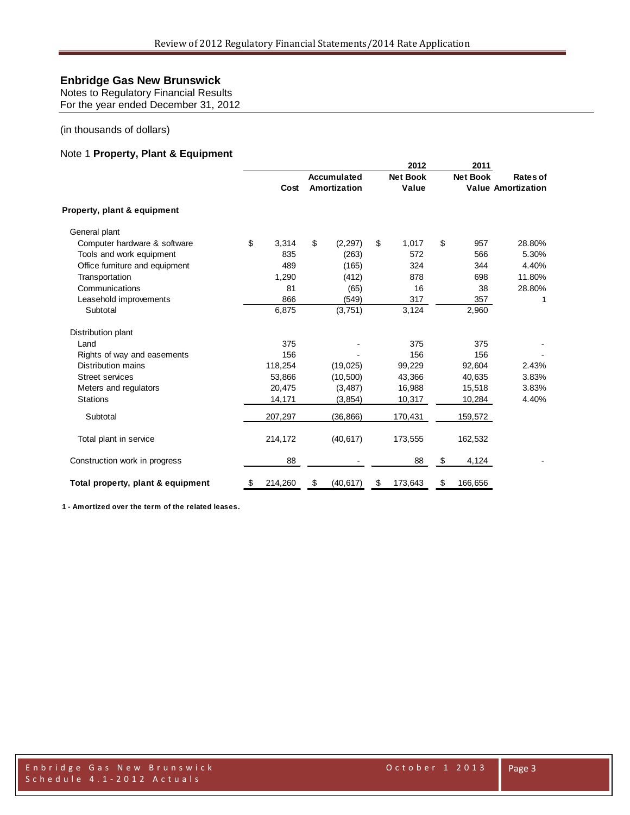Notes to Regulatory Financial Results For the year ended December 31, 2012

#### (in thousands of dollars)

#### Note 1 **Property, Plant & Equipment**

|                                   |               |    |                    |    | 2012            |    | 2011            |                           |
|-----------------------------------|---------------|----|--------------------|----|-----------------|----|-----------------|---------------------------|
|                                   |               |    | <b>Accumulated</b> |    | <b>Net Book</b> |    | <b>Net Book</b> | Rates of                  |
|                                   | Cost          |    | Amortization       |    | Value           |    |                 | <b>Value Amortization</b> |
| Property, plant & equipment       |               |    |                    |    |                 |    |                 |                           |
| General plant                     |               |    |                    |    |                 |    |                 |                           |
| Computer hardware & software      | \$<br>3,314   | \$ | (2, 297)           | \$ | 1,017           | \$ | 957             | 28.80%                    |
| Tools and work equipment          | 835           |    | (263)              |    | 572             |    | 566             | 5.30%                     |
| Office furniture and equipment    | 489           |    | (165)              |    | 324             |    | 344             | 4.40%                     |
| Transportation                    | 1,290         |    | (412)              |    | 878             |    | 698             | 11.80%                    |
| Communications                    | 81            |    | (65)               |    | 16              |    | 38              | 28.80%                    |
| Leasehold improvements            | 866           |    | (549)              |    | 317             |    | 357             | 1                         |
| Subtotal                          | 6,875         |    | (3,751)            |    | 3,124           |    | 2,960           |                           |
| Distribution plant                |               |    |                    |    |                 |    |                 |                           |
| Land                              | 375           |    |                    |    | 375             |    | 375             |                           |
| Rights of way and easements       | 156           |    |                    |    | 156             |    | 156             |                           |
| Distribution mains                | 118,254       |    | (19, 025)          |    | 99,229          |    | 92,604          | 2.43%                     |
| <b>Street services</b>            | 53,866        |    | (10, 500)          |    | 43,366          |    | 40,635          | 3.83%                     |
| Meters and regulators             | 20,475        |    | (3, 487)           |    | 16,988          |    | 15,518          | 3.83%                     |
| <b>Stations</b>                   | 14,171        |    | (3, 854)           |    | 10,317          |    | 10,284          | 4.40%                     |
| Subtotal                          | 207,297       |    | (36, 866)          |    | 170,431         |    | 159,572         |                           |
| Total plant in service            | 214,172       |    | (40, 617)          |    | 173,555         |    | 162,532         |                           |
| Construction work in progress     | 88            |    |                    |    | 88              | \$ | 4,124           |                           |
| Total property, plant & equipment | \$<br>214,260 | \$ | (40, 617)          | \$ | 173,643         | \$ | 166,656         |                           |

**1 - Amortized over the term of the related leases.**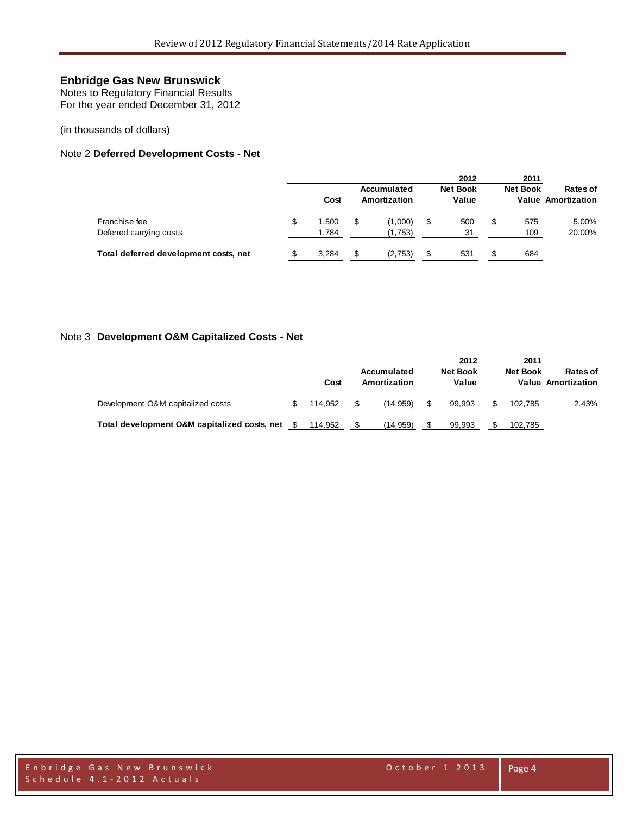Notes to Regulatory Financial Results For the year ended December 31, 2012

(in thousands of dollars)

### Note 2 **Deferred Development Costs - Net**

|                                       | Cost        | Accumulated<br>Amortization |   | 2012<br><b>Net Book</b><br>Value |   | 2011<br><b>Net Book</b> | <b>Rates of</b><br><b>Value Amortization</b> |
|---------------------------------------|-------------|-----------------------------|---|----------------------------------|---|-------------------------|----------------------------------------------|
| Franchise fee                         | \$<br>1.500 | (1,000)                     | S | 500                              | S | 575                     | 5.00%                                        |
| Deferred carrying costs               | 1.784       | (1,753)                     |   | 31                               |   | 109                     | 20.00%                                       |
| Total deferred development costs, net | 3,284       | (2,753)                     |   | 531                              |   | 684                     |                                              |

#### Note 3 **Development O&M Capitalized Costs - Net**

|                                              |         |                             | 2012                     | 2011            |                                       |
|----------------------------------------------|---------|-----------------------------|--------------------------|-----------------|---------------------------------------|
|                                              | Cost    | Accumulated<br>Amortization | <b>Net Book</b><br>Value | <b>Net Book</b> | Rates of<br><b>Value Amortization</b> |
| Development O&M capitalized costs            | 114.952 | (14.959)                    | 99.993                   | 102.785         | 2.43%                                 |
| Total development O&M capitalized costs, net | 114.952 | (14, 959)                   | 99.993                   | 102,785         |                                       |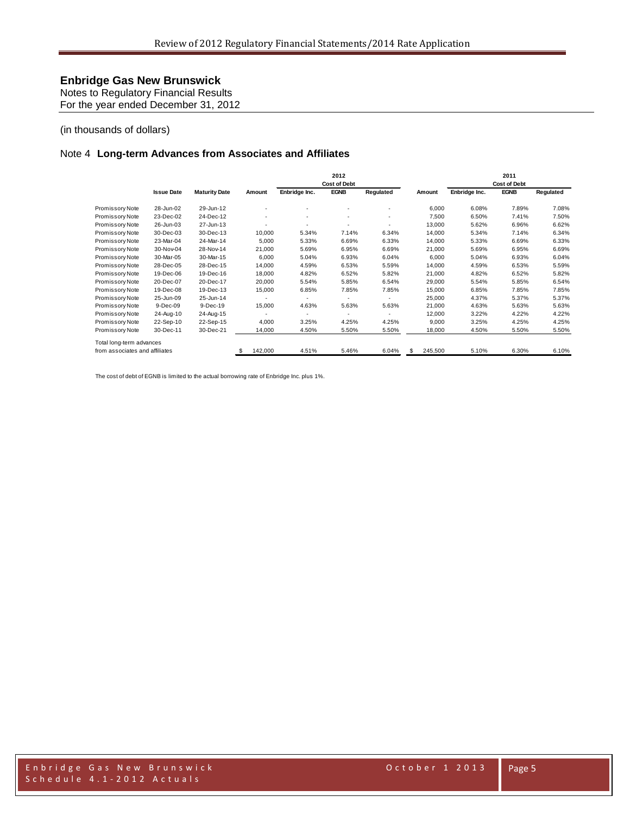Notes to Regulatory Financial Results For the year ended December 31, 2012

#### (in thousands of dollars)

#### Note 4 **Long-term Advances from Associates and Affiliates**

|                                |                   |                      |                          |               | 2012                |           |                |               | 2011                |           |
|--------------------------------|-------------------|----------------------|--------------------------|---------------|---------------------|-----------|----------------|---------------|---------------------|-----------|
|                                |                   |                      |                          |               | <b>Cost of Debt</b> |           |                |               | <b>Cost of Debt</b> |           |
|                                | <b>Issue Date</b> | <b>Maturity Date</b> | Amount                   | Enbridge Inc. | <b>EGNB</b>         | Regulated | Amount         | Enbridge Inc. | <b>EGNB</b>         | Regulated |
| Promissory Note                | 28-Jun-02         | 29-Jun-12            |                          | ٠             |                     |           | 6,000          | 6.08%         | 7.89%               | 7.08%     |
| Promissory Note                | 23-Dec-02         | 24-Dec-12            | $\overline{\phantom{a}}$ | ٠             |                     | ٠         | 7,500          | 6.50%         | 7.41%               | 7.50%     |
| Promissory Note                | 26-Jun-03         | 27-Jun-13            |                          | ٠             |                     |           | 13,000         | 5.62%         | 6.96%               | 6.62%     |
| Promissory Note                | 30-Dec-03         | 30-Dec-13            | 10,000                   | 5.34%         | 7.14%               | 6.34%     | 14,000         | 5.34%         | 7.14%               | 6.34%     |
| Promissory Note                | 23-Mar-04         | 24-Mar-14            | 5,000                    | 5.33%         | 6.69%               | 6.33%     | 14,000         | 5.33%         | 6.69%               | 6.33%     |
| Promissory Note                | 30-Nov-04         | 28-Nov-14            | 21,000                   | 5.69%         | 6.95%               | 6.69%     | 21,000         | 5.69%         | 6.95%               | 6.69%     |
| Promissory Note                | 30-Mar-05         | 30-Mar-15            | 6,000                    | 5.04%         | 6.93%               | 6.04%     | 6,000          | 5.04%         | 6.93%               | 6.04%     |
| Promissory Note                | 28-Dec-05         | 28-Dec-15            | 14,000                   | 4.59%         | 6.53%               | 5.59%     | 14,000         | 4.59%         | 6.53%               | 5.59%     |
| Promissory Note                | 19-Dec-06         | 19-Dec-16            | 18,000                   | 4.82%         | 6.52%               | 5.82%     | 21,000         | 4.82%         | 6.52%               | 5.82%     |
| Promissory Note                | 20-Dec-07         | 20-Dec-17            | 20,000                   | 5.54%         | 5.85%               | 6.54%     | 29,000         | 5.54%         | 5.85%               | 6.54%     |
| Promissory Note                | 19-Dec-08         | 19-Dec-13            | 15,000                   | 6.85%         | 7.85%               | 7.85%     | 15,000         | 6.85%         | 7.85%               | 7.85%     |
| Promissory Note                | 25-Jun-09         | 25-Jun-14            |                          |               | ٠                   |           | 25,000         | 4.37%         | 5.37%               | 5.37%     |
| Promissory Note                | 9-Dec-09          | 9-Dec-19             | 15,000                   | 4.63%         | 5.63%               | 5.63%     | 21,000         | 4.63%         | 5.63%               | 5.63%     |
| Promissory Note                | 24-Aug-10         | 24-Aug-15            |                          | ٠             |                     |           | 12,000         | 3.22%         | 4.22%               | 4.22%     |
| Promissory Note                | 22-Sep-10         | 22-Sep-15            | 4,000                    | 3.25%         | 4.25%               | 4.25%     | 9,000          | 3.25%         | 4.25%               | 4.25%     |
| Promissory Note                | 30-Dec-11         | 30-Dec-21            | 14,000                   | 4.50%         | 5.50%               | 5.50%     | 18,000         | 4.50%         | 5.50%               | 5.50%     |
| Total long-term advances       |                   |                      |                          |               |                     |           |                |               |                     |           |
| from associates and affiliates |                   |                      | 142,000<br>S             | 4.51%         | 5.46%               | 6.04%     | \$.<br>245,500 | 5.10%         | 6.30%               | 6.10%     |

The cost of debt of EGNB is limited to the actual borrowing rate of Enbridge Inc. plus 1%.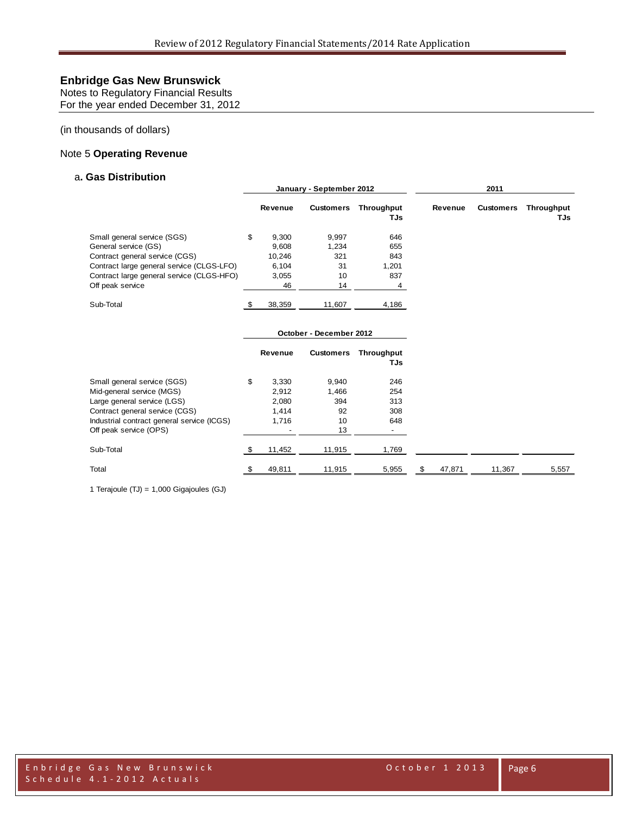Notes to Regulatory Financial Results For the year ended December 31, 2012

(in thousands of dollars)

#### Note 5 **Operating Revenue**

#### a**. Gas Distribution**

|                                            |     |         | January - September 2012 |                   |              |                  |                   |
|--------------------------------------------|-----|---------|--------------------------|-------------------|--------------|------------------|-------------------|
|                                            |     | Revenue | <b>Customers</b>         | Throughput<br>TJs | Revenue      | <b>Customers</b> | Throughput<br>TJs |
| Small general service (SGS)                | \$  | 9,300   | 9,997                    | 646               |              |                  |                   |
| General service (GS)                       |     | 9,608   | 1,234                    | 655               |              |                  |                   |
| Contract general service (CGS)             |     | 10,246  | 321                      | 843               |              |                  |                   |
| Contract large general service (CLGS-LFO)  |     | 6,104   | 31                       | 1,201             |              |                  |                   |
| Contract large general service (CLGS-HFO)  |     | 3,055   | 10                       | 837               |              |                  |                   |
| Off peak service                           |     | 46      | 14                       | 4                 |              |                  |                   |
| Sub-Total                                  | -\$ | 38,359  | 11,607                   | 4,186             |              |                  |                   |
|                                            |     |         | October - December 2012  |                   |              |                  |                   |
|                                            |     | Revenue | <b>Customers</b>         | Throughput<br>TJs |              |                  |                   |
| Small general service (SGS)                | \$  | 3,330   | 9,940                    | 246               |              |                  |                   |
| Mid-general service (MGS)                  |     | 2,912   | 1,466                    | 254               |              |                  |                   |
| Large general service (LGS)                |     | 2,080   | 394                      | 313               |              |                  |                   |
| Contract general service (CGS)             |     | 1,414   | 92                       | 308               |              |                  |                   |
| Industrial contract general service (ICGS) |     | 1,716   | 10                       | 648               |              |                  |                   |
| Off peak service (OPS)                     |     |         | 13                       |                   |              |                  |                   |
| Sub-Total                                  | \$  | 11,452  | 11,915                   | 1,769             |              |                  |                   |
| Total                                      | \$  | 49,811  | 11,915                   | 5,955             | \$<br>47,871 | 11,367           | 5,557             |

1 Terajoule (TJ) = 1,000 Gigajoules (GJ)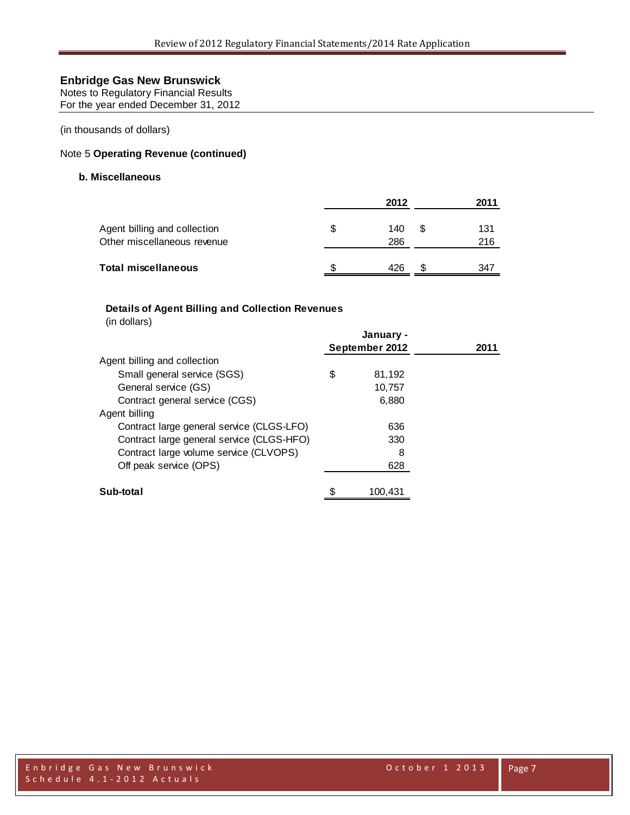Notes to Regulatory Financial Results For the year ended December 31, 2012

(in thousands of dollars)

### Note 5 **Operating Revenue (continued)**

#### **b. Miscellaneous**

|                                                             |   | 2012       |   | 2011       |
|-------------------------------------------------------------|---|------------|---|------------|
| Agent billing and collection<br>Other miscellaneous revenue | S | 140<br>286 | S | 131<br>216 |
| <b>Total miscellaneous</b>                                  |   | 426        | S | 347        |

### **Details of Agent Billing and Collection Revenues**

(in dollars)

|                                           | January -      |      |
|-------------------------------------------|----------------|------|
|                                           | September 2012 | 2011 |
| Agent billing and collection              |                |      |
| Small general service (SGS)               | \$<br>81,192   |      |
| General service (GS)                      | 10,757         |      |
| Contract general service (CGS)            | 6,880          |      |
| Agent billing                             |                |      |
| Contract large general service (CLGS-LFO) | 636            |      |
| Contract large general service (CLGS-HFO) | 330            |      |
| Contract large volume service (CLVOPS)    | 8              |      |
| Off peak service (OPS)                    | 628            |      |
| Sub-total                                 | 100.431        |      |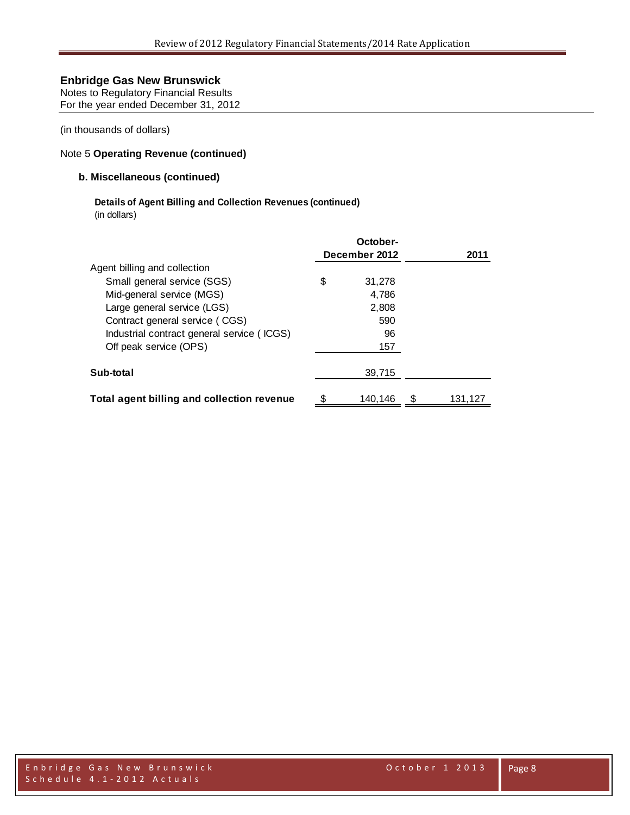Notes to Regulatory Financial Results For the year ended December 31, 2012

(in thousands of dollars)

### Note 5 **Operating Revenue (continued)**

#### **b. Miscellaneous (continued)**

## **Details of Agent Billing and Collection Revenues (continued)**

(in dollars)

|                                            | October-<br>December 2012 | 2011          |
|--------------------------------------------|---------------------------|---------------|
| Agent billing and collection               |                           |               |
| Small general service (SGS)                | \$<br>31,278              |               |
| Mid-general service (MGS)                  | 4.786                     |               |
| Large general service (LGS)                | 2,808                     |               |
| Contract general service (CGS)             | 590                       |               |
| Industrial contract general service (ICGS) | 96                        |               |
| Off peak service (OPS)                     | 157                       |               |
| Sub-total                                  | 39.715                    |               |
| Total agent billing and collection revenue | \$<br>140.146             | \$<br>131,127 |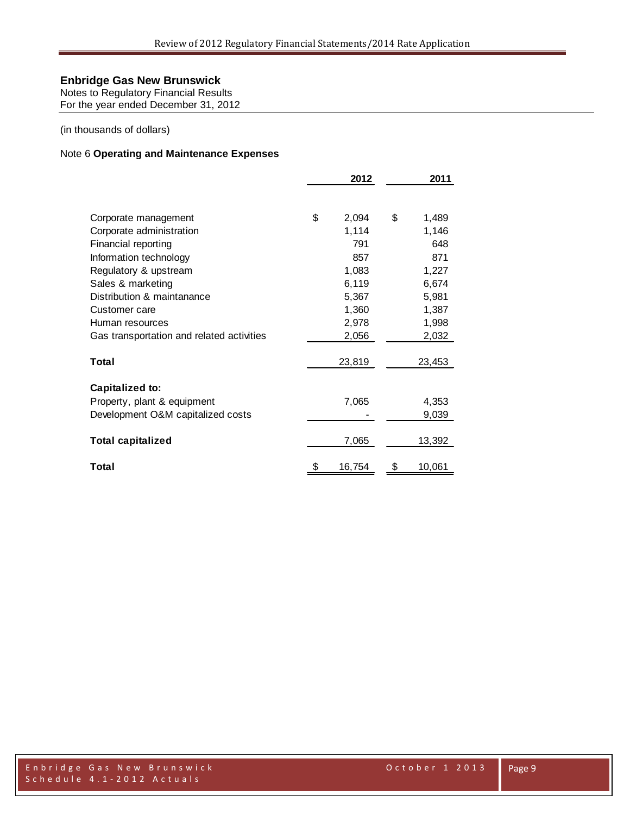Notes to Regulatory Financial Results For the year ended December 31, 2012

(in thousands of dollars)

### Note 6 **Operating and Maintenance Expenses**

|                                           | 2012         | 2011         |
|-------------------------------------------|--------------|--------------|
| Corporate management                      | \$<br>2,094  | \$<br>1,489  |
| Corporate administration                  | 1,114        | 1,146        |
| Financial reporting                       | 791          | 648          |
| Information technology                    | 857          | 871          |
| Regulatory & upstream                     | 1,083        | 1,227        |
| Sales & marketing                         | 6,119        | 6,674        |
| Distribution & maintanance                | 5,367        | 5,981        |
| Customer care                             | 1,360        | 1,387        |
| Human resources                           | 2,978        | 1,998        |
| Gas transportation and related activities | 2,056        | 2,032        |
| Total                                     | 23,819       | 23,453       |
| Capitalized to:                           |              |              |
| Property, plant & equipment               | 7,065        | 4,353        |
| Development O&M capitalized costs         |              | 9,039        |
| <b>Total capitalized</b>                  | 7,065        | 13,392       |
| Total                                     | \$<br>16,754 | \$<br>10,061 |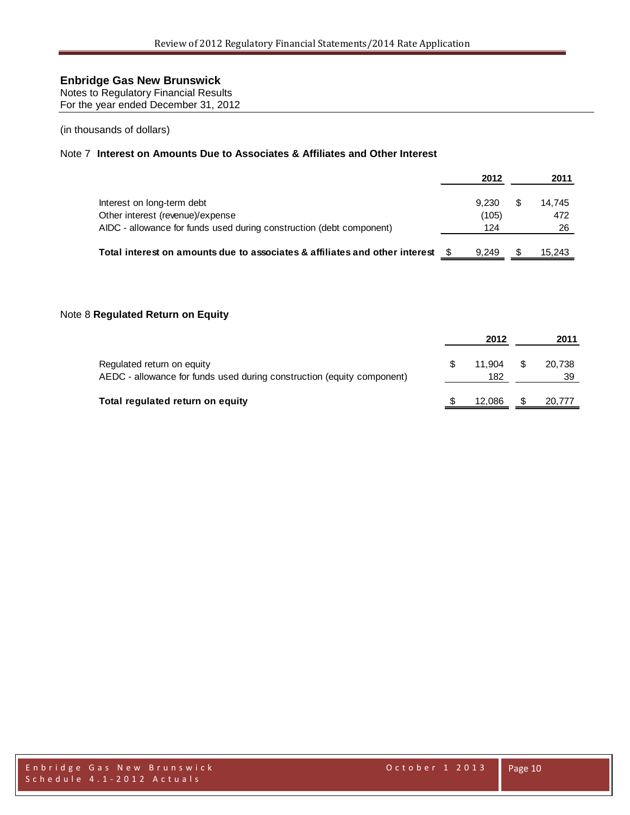Notes to Regulatory Financial Results For the year ended December 31, 2012

(in thousands of dollars)

### Note 7 **Interest on Amounts Due to Associates & Affiliates and Other Interest**

|                                                                             | 2012  |   | 2011   |
|-----------------------------------------------------------------------------|-------|---|--------|
| Interest on long-term debt                                                  | 9.230 | S | 14.745 |
| Other interest (revenue)/expense                                            | (105) |   | 472    |
| AIDC - allowance for funds used during construction (debt component)        | 124   |   | 26     |
| Total interest on amounts due to associates & affiliates and other interest | 9.249 |   | 15,243 |

#### Note 8 **Regulated Return on Equity**

|                                                                                                      | 2012          |     | 2011         |
|------------------------------------------------------------------------------------------------------|---------------|-----|--------------|
| Regulated return on equity<br>AEDC - allowance for funds used during construction (equity component) | 11.904<br>182 | S S | 20,738<br>39 |
| Total regulated return on equity                                                                     | 12.086        | S   | 20,777       |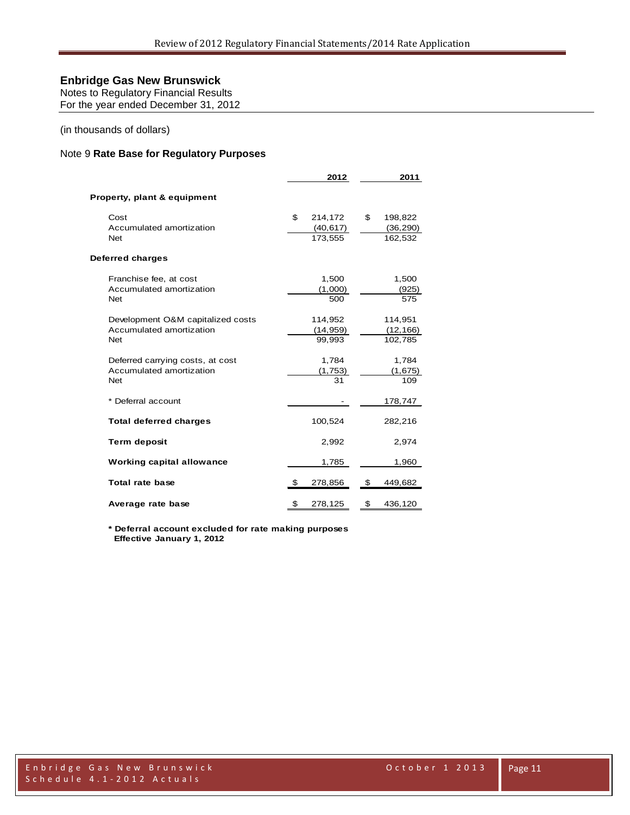Notes to Regulatory Financial Results For the year ended December 31, 2012

(in thousands of dollars)

### Note 9 **Rate Base for Regulatory Purposes**

|                                                                             | 2012                                  | 2011                                  |
|-----------------------------------------------------------------------------|---------------------------------------|---------------------------------------|
| Property, plant & equipment                                                 |                                       |                                       |
| Cost<br>Accumulated amortization<br><b>Net</b>                              | \$<br>214,172<br>(40, 617)<br>173.555 | \$<br>198,822<br>(36, 290)<br>162,532 |
| Deferred charges                                                            |                                       |                                       |
| Franchise fee, at cost<br>Accumulated amortization<br><b>Net</b>            | 1,500<br>(1,000)<br>500               | 1,500<br>(925)<br>575                 |
| Development O&M capitalized costs<br>Accumulated amortization<br><b>Net</b> | 114,952<br>(14, 959)<br>99,993        | 114,951<br>(12, 166)<br>102,785       |
| Deferred carrying costs, at cost<br>Accumulated amortization<br><b>Net</b>  | 1,784<br>(1,753)<br>31                | 1,784<br>(1,675)<br>109               |
| * Deferral account                                                          |                                       | 178,747                               |
| <b>Total deferred charges</b>                                               | 100,524                               | 282,216                               |
| <b>Term deposit</b>                                                         | 2,992                                 | 2,974                                 |
| <b>Working capital allowance</b>                                            | 1,785                                 | 1,960                                 |
| Total rate base                                                             | \$<br>278,856                         | \$<br>449,682                         |
| Average rate base                                                           | \$<br>278,125                         | \$<br>436,120                         |

**\* Deferral account excluded for rate making purposes Effective January 1, 2012**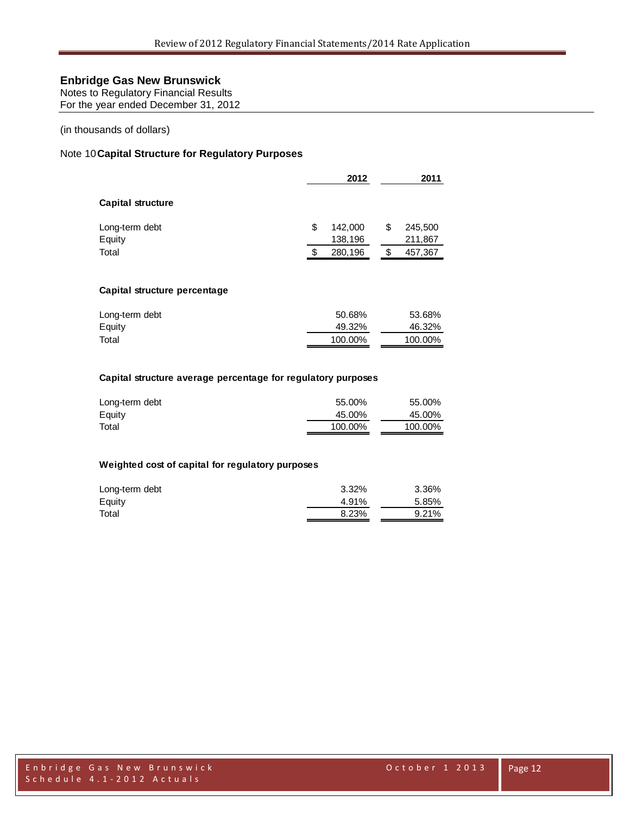Notes to Regulatory Financial Results For the year ended December 31, 2012

(in thousands of dollars)

#### Note 10**Capital Structure for Regulatory Purposes**

|                          |   | 2012               | 2011                     |
|--------------------------|---|--------------------|--------------------------|
| <b>Capital structure</b> |   |                    |                          |
| Long-term debt<br>Equity | S | 142,000<br>138,196 | \$<br>245,500<br>211,867 |
| Total                    |   | 280,196            | \$<br>457,367            |

#### **Capital structure percentage**

| Long-term debt | 50.68%  | 53.68%  |
|----------------|---------|---------|
| Equity         | 49.32%  | 46.32%  |
| Total          | 100.00% | 100.00% |

#### **Capital structure average percentage for regulatory purposes**

| Long-term debt | 55.00%  | 55.00%  |
|----------------|---------|---------|
| Equity         | 45.00%  | 45.00%  |
| Total          | 100.00% | 100.00% |

#### **Weighted cost of capital for regulatory purposes**

| Long-term debt | 3.32% | 3.36% |
|----------------|-------|-------|
| Equity         | 4.91% | 5.85% |
| Total          | 8.23% | 9.21% |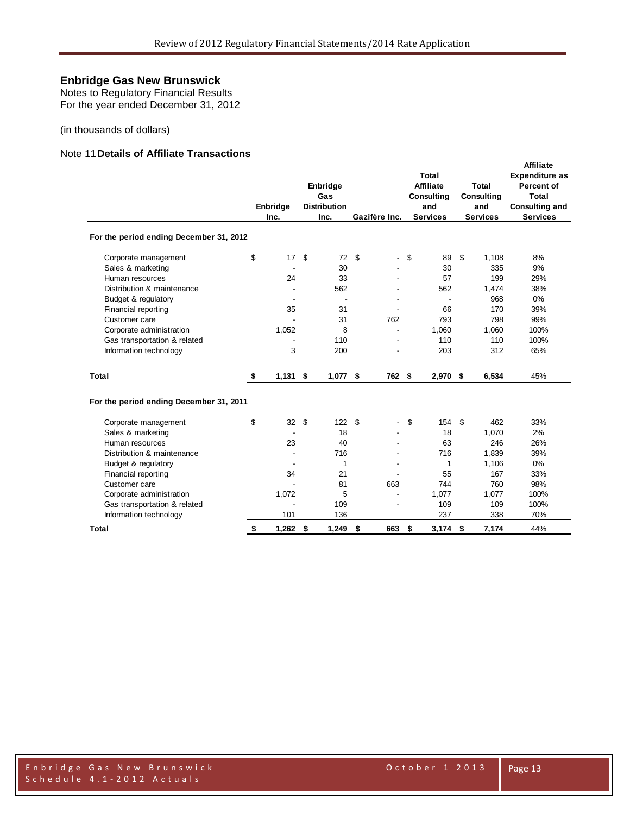Notes to Regulatory Financial Results For the year ended December 31, 2012

#### (in thousands of dollars)

#### Note 11**Details of Affiliate Transactions**

|                                         | Enbridge<br>Inc. | Enbridge<br>Gas<br><b>Distribution</b><br>Inc. | Gazifère Inc.        | Total<br><b>Affiliate</b><br>Total<br>Consulting<br>Consulting<br>and<br>and<br><b>Services</b><br><b>Services</b> |             | <b>Affiliate</b><br><b>Expenditure as</b><br>Percent of<br><b>Total</b><br><b>Consulting and</b><br><b>Services</b> |      |
|-----------------------------------------|------------------|------------------------------------------------|----------------------|--------------------------------------------------------------------------------------------------------------------|-------------|---------------------------------------------------------------------------------------------------------------------|------|
| For the period ending December 31, 2012 |                  |                                                |                      |                                                                                                                    |             |                                                                                                                     |      |
| Corporate management                    | \$<br>17         | \$<br>72                                       | \$<br>$\blacksquare$ | \$                                                                                                                 | 89          | \$<br>1,108                                                                                                         | 8%   |
| Sales & marketing                       |                  | 30                                             |                      |                                                                                                                    | 30          | 335                                                                                                                 | 9%   |
| Human resources                         | 24               | 33                                             |                      |                                                                                                                    | 57          | 199                                                                                                                 | 29%  |
| Distribution & maintenance              |                  | 562                                            |                      |                                                                                                                    | 562         | 1.474                                                                                                               | 38%  |
| Budget & regulatory                     |                  |                                                |                      |                                                                                                                    |             | 968                                                                                                                 | 0%   |
| Financial reporting                     | 35               | 31                                             |                      |                                                                                                                    | 66          | 170                                                                                                                 | 39%  |
| Customer care                           |                  | 31                                             | 762                  |                                                                                                                    | 793         | 798                                                                                                                 | 99%  |
| Corporate administration                | 1,052            | 8                                              |                      |                                                                                                                    | 1,060       | 1,060                                                                                                               | 100% |
| Gas transportation & related            |                  | 110                                            |                      |                                                                                                                    | 110         | 110                                                                                                                 | 100% |
| Information technology                  | 3                | 200                                            |                      |                                                                                                                    | 203         | 312                                                                                                                 | 65%  |
| Total                                   | \$<br>1,131      | \$<br>1,077                                    | \$<br>762 \$         |                                                                                                                    | $2,970$ \$  | 6,534                                                                                                               | 45%  |
| For the period ending December 31, 2011 |                  |                                                |                      |                                                                                                                    |             |                                                                                                                     |      |
| Corporate management                    | \$<br>32         | \$<br>122                                      | \$                   | \$                                                                                                                 | 154         | \$<br>462                                                                                                           | 33%  |
| Sales & marketing                       |                  | 18                                             |                      |                                                                                                                    | 18          | 1.070                                                                                                               | 2%   |
| Human resources                         | 23               | 40                                             |                      |                                                                                                                    | 63          | 246                                                                                                                 | 26%  |
| Distribution & maintenance              |                  | 716                                            |                      |                                                                                                                    | 716         | 1,839                                                                                                               | 39%  |
| Budget & regulatory                     |                  | 1                                              |                      |                                                                                                                    | $\mathbf 1$ | 1,106                                                                                                               | 0%   |
| Financial reporting                     | 34               | 21                                             |                      |                                                                                                                    | 55          | 167                                                                                                                 | 33%  |
| Customer care                           |                  | 81                                             | 663                  |                                                                                                                    | 744         | 760                                                                                                                 | 98%  |
| Corporate administration                | 1,072            | 5                                              |                      |                                                                                                                    | 1,077       | 1,077                                                                                                               | 100% |
| Gas transportation & related            |                  | 109                                            |                      |                                                                                                                    | 109         | 109                                                                                                                 | 100% |
| Information technology                  | 101              | 136                                            |                      |                                                                                                                    | 237         | 338                                                                                                                 | 70%  |
| Total                                   | \$<br>$1,262$ \$ | 1,249                                          | \$<br>663            | \$                                                                                                                 | $3,174$ \$  | 7,174                                                                                                               | 44%  |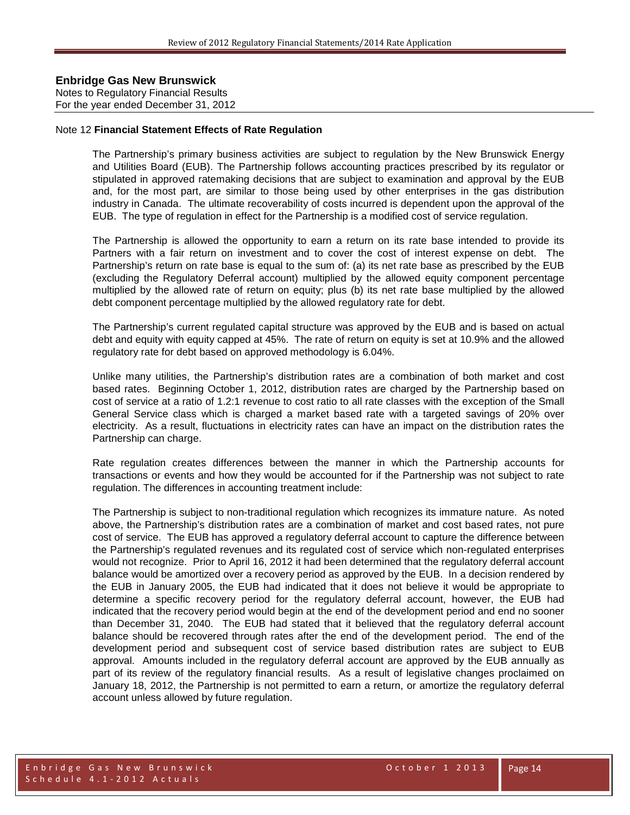Notes to Regulatory Financial Results For the year ended December 31, 2012

#### Note 12 **Financial Statement Effects of Rate Regulation**

The Partnership's primary business activities are subject to regulation by the New Brunswick Energy and Utilities Board (EUB). The Partnership follows accounting practices prescribed by its regulator or stipulated in approved ratemaking decisions that are subject to examination and approval by the EUB and, for the most part, are similar to those being used by other enterprises in the gas distribution industry in Canada. The ultimate recoverability of costs incurred is dependent upon the approval of the EUB. The type of regulation in effect for the Partnership is a modified cost of service regulation.

The Partnership is allowed the opportunity to earn a return on its rate base intended to provide its Partners with a fair return on investment and to cover the cost of interest expense on debt. The Partnership's return on rate base is equal to the sum of: (a) its net rate base as prescribed by the EUB (excluding the Regulatory Deferral account) multiplied by the allowed equity component percentage multiplied by the allowed rate of return on equity; plus (b) its net rate base multiplied by the allowed debt component percentage multiplied by the allowed regulatory rate for debt.

The Partnership's current regulated capital structure was approved by the EUB and is based on actual debt and equity with equity capped at 45%. The rate of return on equity is set at 10.9% and the allowed regulatory rate for debt based on approved methodology is 6.04%.

Unlike many utilities, the Partnership's distribution rates are a combination of both market and cost based rates. Beginning October 1, 2012, distribution rates are charged by the Partnership based on cost of service at a ratio of 1.2:1 revenue to cost ratio to all rate classes with the exception of the Small General Service class which is charged a market based rate with a targeted savings of 20% over electricity. As a result, fluctuations in electricity rates can have an impact on the distribution rates the Partnership can charge.

Rate regulation creates differences between the manner in which the Partnership accounts for transactions or events and how they would be accounted for if the Partnership was not subject to rate regulation. The differences in accounting treatment include:

The Partnership is subject to non-traditional regulation which recognizes its immature nature. As noted above, the Partnership's distribution rates are a combination of market and cost based rates, not pure cost of service. The EUB has approved a regulatory deferral account to capture the difference between the Partnership's regulated revenues and its regulated cost of service which non-regulated enterprises would not recognize. Prior to April 16, 2012 it had been determined that the regulatory deferral account balance would be amortized over a recovery period as approved by the EUB. In a decision rendered by the EUB in January 2005, the EUB had indicated that it does not believe it would be appropriate to determine a specific recovery period for the regulatory deferral account, however, the EUB had indicated that the recovery period would begin at the end of the development period and end no sooner than December 31, 2040. The EUB had stated that it believed that the regulatory deferral account balance should be recovered through rates after the end of the development period. The end of the development period and subsequent cost of service based distribution rates are subject to EUB approval. Amounts included in the regulatory deferral account are approved by the EUB annually as part of its review of the regulatory financial results. As a result of legislative changes proclaimed on January 18, 2012, the Partnership is not permitted to earn a return, or amortize the regulatory deferral account unless allowed by future regulation.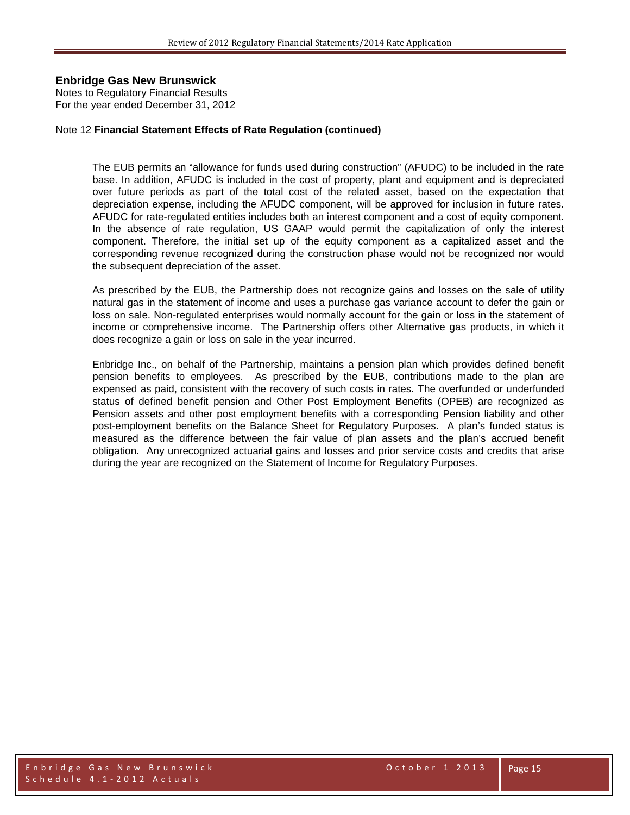Notes to Regulatory Financial Results For the year ended December 31, 2012

#### Note 12 **Financial Statement Effects of Rate Regulation (continued)**

The EUB permits an "allowance for funds used during construction" (AFUDC) to be included in the rate base. In addition, AFUDC is included in the cost of property, plant and equipment and is depreciated over future periods as part of the total cost of the related asset, based on the expectation that depreciation expense, including the AFUDC component, will be approved for inclusion in future rates. AFUDC for rate-regulated entities includes both an interest component and a cost of equity component. In the absence of rate regulation, US GAAP would permit the capitalization of only the interest component. Therefore, the initial set up of the equity component as a capitalized asset and the corresponding revenue recognized during the construction phase would not be recognized nor would the subsequent depreciation of the asset.

As prescribed by the EUB, the Partnership does not recognize gains and losses on the sale of utility natural gas in the statement of income and uses a purchase gas variance account to defer the gain or loss on sale. Non-regulated enterprises would normally account for the gain or loss in the statement of income or comprehensive income. The Partnership offers other Alternative gas products, in which it does recognize a gain or loss on sale in the year incurred.

Enbridge Inc., on behalf of the Partnership, maintains a pension plan which provides defined benefit pension benefits to employees. As prescribed by the EUB, contributions made to the plan are expensed as paid, consistent with the recovery of such costs in rates. The overfunded or underfunded status of defined benefit pension and Other Post Employment Benefits (OPEB) are recognized as Pension assets and other post employment benefits with a corresponding Pension liability and other post-employment benefits on the Balance Sheet for Regulatory Purposes. A plan's funded status is measured as the difference between the fair value of plan assets and the plan's accrued benefit obligation. Any unrecognized actuarial gains and losses and prior service costs and credits that arise during the year are recognized on the Statement of Income for Regulatory Purposes.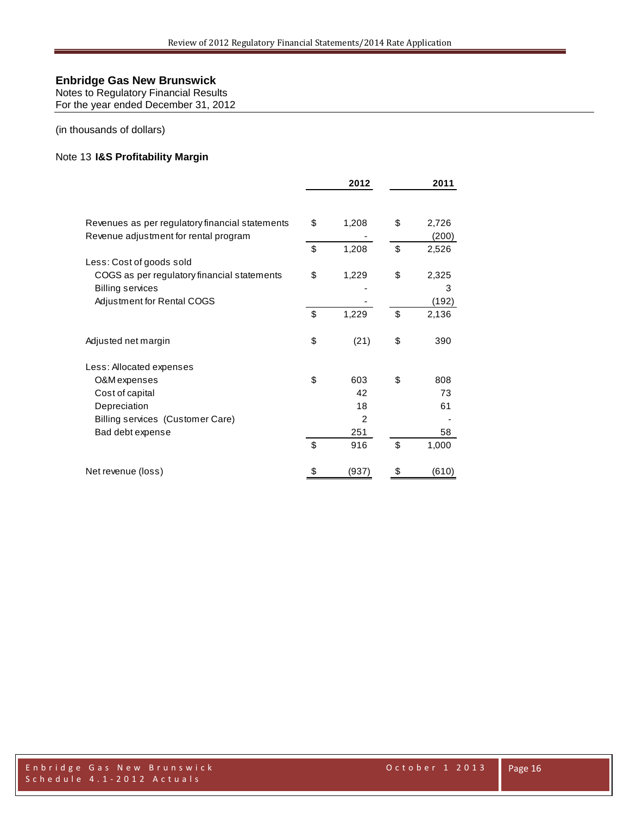Notes to Regulatory Financial Results For the year ended December 31, 2012

(in thousands of dollars)

#### Note 13 **I&S Profitability Margin**

|                                                 | 2012           | 2011 |       |  |
|-------------------------------------------------|----------------|------|-------|--|
|                                                 |                |      |       |  |
| Revenues as per regulatory financial statements | \$<br>1,208    | \$   | 2,726 |  |
| Revenue adjustment for rental program           |                |      | (200) |  |
|                                                 | \$<br>1,208    | \$   | 2,526 |  |
| Less: Cost of goods sold                        |                |      |       |  |
| COGS as per regulatory financial statements     | \$<br>1,229    | \$   | 2,325 |  |
| <b>Billing services</b>                         |                |      | 3     |  |
| Adjustment for Rental COGS                      |                |      | (192) |  |
|                                                 | \$<br>1,229    | \$   | 2,136 |  |
| Adjusted net margin                             | \$<br>(21)     | \$   | 390   |  |
| Less: Allocated expenses                        |                |      |       |  |
| O&M expenses                                    | \$<br>603      | \$   | 808   |  |
| Cost of capital                                 | 42             |      | 73    |  |
| Depreciation                                    | 18             |      | 61    |  |
| Billing services (Customer Care)                | $\overline{2}$ |      |       |  |
| Bad debt expense                                | 251            |      | 58    |  |
|                                                 | \$<br>916      | \$   | 1,000 |  |
| Net revenue (loss)                              | \$<br>(937)    | \$   | (610) |  |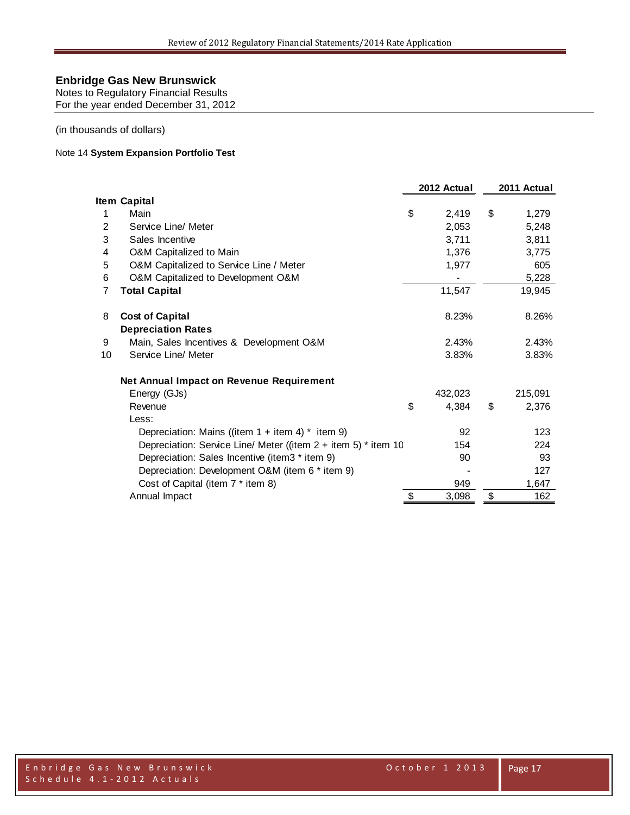Notes to Regulatory Financial Results For the year ended December 31, 2012

(in thousands of dollars)

#### Note 14 **System Expansion Portfolio Test**

|    |                                                                    | 2012 Actual | 2011 Actual |
|----|--------------------------------------------------------------------|-------------|-------------|
|    | Item Capital                                                       |             |             |
| 1  | Main                                                               | \$<br>2,419 | \$<br>1,279 |
| 2  | Service Line/ Meter                                                | 2,053       | 5,248       |
| 3  | Sales Incentive                                                    | 3,711       | 3,811       |
| 4  | O&M Capitalized to Main                                            | 1,376       | 3.775       |
| 5  | O&M Capitalized to Service Line / Meter                            | 1,977       | 605         |
| 6  | O&M Capitalized to Development O&M                                 |             | 5,228       |
| 7  | <b>Total Capital</b>                                               | 11,547      | 19,945      |
| 8  | <b>Cost of Capital</b>                                             | 8.23%       | 8.26%       |
|    | <b>Depreciation Rates</b>                                          |             |             |
| 9  | Main, Sales Incentives & Development O&M                           | 2.43%       | 2.43%       |
| 10 | Service Line/ Meter                                                | 3.83%       | 3.83%       |
|    | <b>Net Annual Impact on Revenue Requirement</b>                    |             |             |
|    | Energy (GJs)                                                       | 432,023     | 215,091     |
|    | Revenue                                                            | \$<br>4.384 | \$<br>2,376 |
|    | Less:                                                              |             |             |
|    | Depreciation: Mains ((item $1 +$ item $4$ ) * item 9)              | 92          | 123         |
|    | Depreciation: Service Line/ Meter ((item $2 +$ item 5) $*$ item 10 | 154         | 224         |
|    | Depreciation: Sales Incentive (item3 * item 9)                     | 90          | 93          |
|    | Depreciation: Development O&M (item 6 * item 9)                    |             | 127         |
|    | Cost of Capital (item 7 * item 8)                                  | 949         | 1,647       |
|    | Annual Impact                                                      | 3,098       | \$<br>162   |